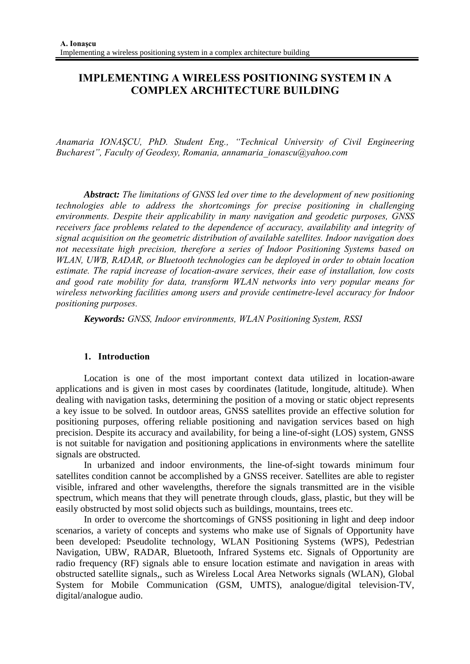# **IMPLEMENTING A WIRELESS POSITIONING SYSTEM IN A COMPLEX ARCHITECTURE BUILDING**

*Anamaria IONAŞCU, PhD. Student Eng., "Technical University of Civil Engineering Bucharest", Faculty of Geodesy, Romania, annamaria\_ionascu@yahoo.com* 

*Abstract: The limitations of GNSS led over time to the development of new positioning technologies able to address the shortcomings for precise positioning in challenging environments. Despite their applicability in many navigation and geodetic purposes, GNSS receivers face problems related to the dependence of accuracy, availability and integrity of signal acquisition on the geometric distribution of available satellites. Indoor navigation does not necessitate high precision, therefore a series of Indoor Positioning Systems based on WLAN, UWB, RADAR, or Bluetooth technologies can be deployed in order to obtain location estimate. The rapid increase of location-aware services, their ease of installation, low costs and good rate mobility for data, transform WLAN networks into very popular means for wireless networking facilities among users and provide centimetre-level accuracy for Indoor positioning purposes.* 

*Keywords: GNSS, Indoor environments, WLAN Positioning System, RSSI* 

#### **1. Introduction**

Location is one of the most important context data utilized in location-aware applications and is given in most cases by coordinates (latitude, longitude, altitude). When dealing with navigation tasks, determining the position of a moving or static object represents a key issue to be solved. In outdoor areas, GNSS satellites provide an effective solution for positioning purposes, offering reliable positioning and navigation services based on high precision. Despite its accuracy and availability, for being a line-of-sight (LOS) system, GNSS is not suitable for navigation and positioning applications in environments where the satellite signals are obstructed.

In urbanized and indoor environments, the line-of-sight towards minimum four satellites condition cannot be accomplished by a GNSS receiver. Satellites are able to register visible, infrared and other wavelengths, therefore the signals transmitted are in the visible spectrum, which means that they will penetrate through clouds, glass, plastic, but they will be easily obstructed by most solid objects such as buildings, mountains, trees etc.

In order to overcome the shortcomings of GNSS positioning in light and deep indoor scenarios, a variety of concepts and systems who make use of Signals of Opportunity have been developed: Pseudolite technology, WLAN Positioning Systems (WPS), Pedestrian Navigation, UBW, RADAR, Bluetooth, Infrared Systems etc. Signals of Opportunity are radio frequency (RF) signals able to ensure location estimate and navigation in areas with obstructed satellite signals,, such as Wireless Local Area Networks signals (WLAN), Global System for Mobile Communication (GSM, UMTS), analogue/digital television-TV, digital/analogue audio.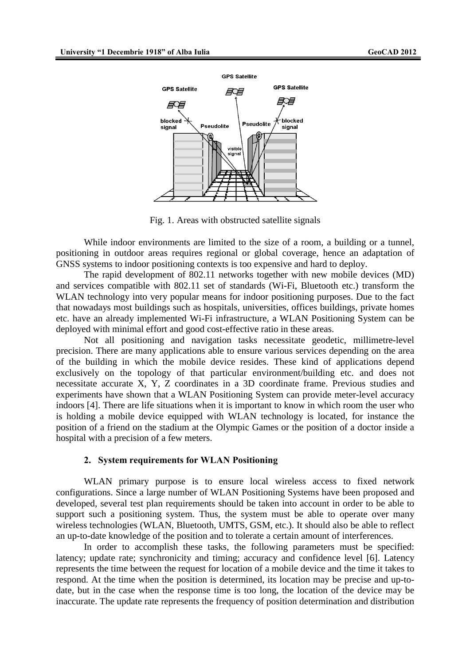

Fig. 1. Areas with obstructed satellite signals

While indoor environments are limited to the size of a room, a building or a tunnel, positioning in outdoor areas requires regional or global coverage, hence an adaptation of GNSS systems to indoor positioning contexts is too expensive and hard to deploy.

The rapid development of 802.11 networks together with new mobile devices (MD) and services compatible with 802.11 set of standards (Wi-Fi, Bluetooth etc.) transform the WLAN technology into very popular means for indoor positioning purposes. Due to the fact that nowadays most buildings such as hospitals, universities, offices buildings, private homes etc. have an already implemented Wi-Fi infrastructure, a WLAN Positioning System can be deployed with minimal effort and good cost-effective ratio in these areas.

Not all positioning and navigation tasks necessitate geodetic, millimetre-level precision. There are many applications able to ensure various services depending on the area of the building in which the mobile device resides. These kind of applications depend exclusively on the topology of that particular environment/building etc. and does not necessitate accurate X, Y, Z coordinates in a 3D coordinate frame. Previous studies and experiments have shown that a WLAN Positioning System can provide meter-level accuracy indoors [4]. There are life situations when it is important to know in which room the user who is holding a mobile device equipped with WLAN technology is located, for instance the position of a friend on the stadium at the Olympic Games or the position of a doctor inside a hospital with a precision of a few meters.

#### **2. System requirements for WLAN Positioning**

WLAN primary purpose is to ensure local wireless access to fixed network configurations. Since a large number of WLAN Positioning Systems have been proposed and developed, several test plan requirements should be taken into account in order to be able to support such a positioning system. Thus, the system must be able to operate over many wireless technologies (WLAN, Bluetooth, UMTS, GSM, etc.). It should also be able to reflect an up-to-date knowledge of the position and to tolerate a certain amount of interferences.

In order to accomplish these tasks, the following parameters must be specified: latency; update rate; synchronicity and timing; accuracy and confidence level [6]. Latency represents the time between the request for location of a mobile device and the time it takes to respond. At the time when the position is determined, its location may be precise and up-todate, but in the case when the response time is too long, the location of the device may be inaccurate. The update rate represents the frequency of position determination and distribution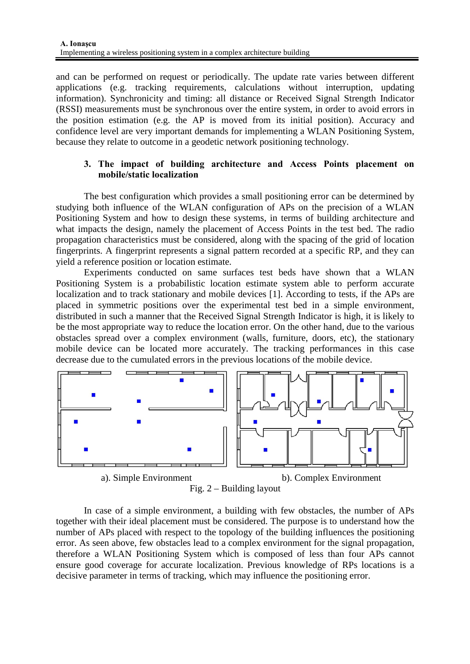and can be performed on request or periodically. The update rate varies between different applications (e.g. tracking requirements, calculations without interruption, updating information). Synchronicity and timing: all distance or Received Signal Strength Indicator (RSSI) measurements must be synchronous over the entire system, in order to avoid errors in the position estimation (e.g. the AP is moved from its initial position). Accuracy and confidence level are very important demands for implementing a WLAN Positioning System, because they relate to outcome in a geodetic network positioning technology.

### **3. The impact of building architecture and Access Points placement on mobile/static localization**

The best configuration which provides a small positioning error can be determined by studying both influence of the WLAN configuration of APs on the precision of a WLAN Positioning System and how to design these systems, in terms of building architecture and what impacts the design, namely the placement of Access Points in the test bed. The radio propagation characteristics must be considered, along with the spacing of the grid of location fingerprints. A fingerprint represents a signal pattern recorded at a specific RP, and they can yield a reference position or location estimate.

Experiments conducted on same surfaces test beds have shown that a WLAN Positioning System is a probabilistic location estimate system able to perform accurate localization and to track stationary and mobile devices [1]. According to tests, if the APs are placed in symmetric positions over the experimental test bed in a simple environment, distributed in such a manner that the Received Signal Strength Indicator is high, it is likely to be the most appropriate way to reduce the location error. On the other hand, due to the various obstacles spread over a complex environment (walls, furniture, doors, etc), the stationary mobile device can be located more accurately. The tracking performances in this case decrease due to the cumulated errors in the previous locations of the mobile device.



Fig. 2 – Building layout

In case of a simple environment, a building with few obstacles, the number of APs together with their ideal placement must be considered. The purpose is to understand how the number of APs placed with respect to the topology of the building influences the positioning error. As seen above, few obstacles lead to a complex environment for the signal propagation, therefore a WLAN Positioning System which is composed of less than four APs cannot ensure good coverage for accurate localization. Previous knowledge of RPs locations is a decisive parameter in terms of tracking, which may influence the positioning error.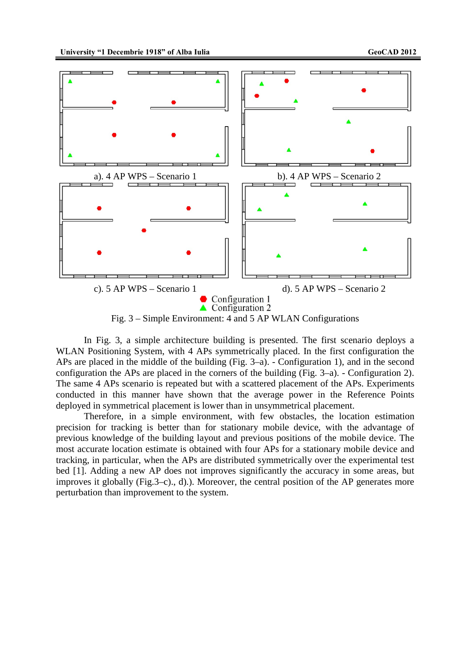

In Fig. 3, a simple architecture building is presented. The first scenario deploys a WLAN Positioning System, with 4 APs symmetrically placed. In the first configuration the APs are placed in the middle of the building (Fig. 3–a). - Configuration 1), and in the second configuration the APs are placed in the corners of the building (Fig. 3–a). - Configuration 2). The same 4 APs scenario is repeated but with a scattered placement of the APs. Experiments conducted in this manner have shown that the average power in the Reference Points deployed in symmetrical placement is lower than in unsymmetrical placement.

Therefore, in a simple environment, with few obstacles, the location estimation precision for tracking is better than for stationary mobile device, with the advantage of previous knowledge of the building layout and previous positions of the mobile device. The most accurate location estimate is obtained with four APs for a stationary mobile device and tracking, in particular, when the APs are distributed symmetrically over the experimental test bed [1]. Adding a new AP does not improves significantly the accuracy in some areas, but improves it globally (Fig.3–c)., d).). Moreover, the central position of the AP generates more perturbation than improvement to the system.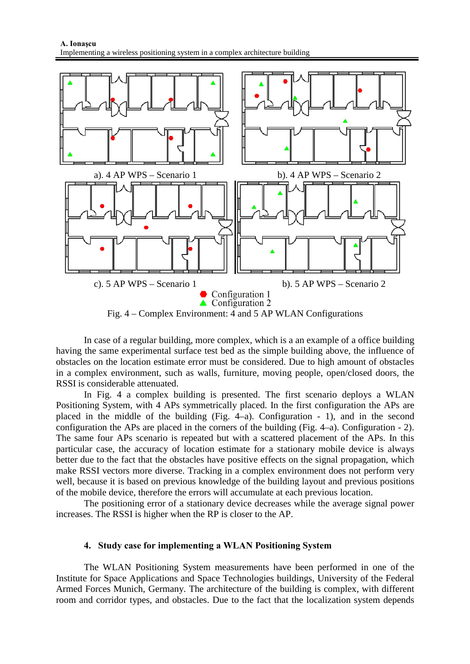

In case of a regular building, more complex, which is a an example of a office building having the same experimental surface test bed as the simple building above, the influence of obstacles on the location estimate error must be considered. Due to high amount of obstacles in a complex environment, such as walls, furniture, moving people, open/closed doors, the RSSI is considerable attenuated.

In Fig. 4 a complex building is presented. The first scenario deploys a WLAN Positioning System, with 4 APs symmetrically placed. In the first configuration the APs are placed in the middle of the building (Fig. 4–a). Configuration - 1), and in the second configuration the APs are placed in the corners of the building (Fig. 4–a). Configuration - 2). The same four APs scenario is repeated but with a scattered placement of the APs. In this particular case, the accuracy of location estimate for a stationary mobile device is always better due to the fact that the obstacles have positive effects on the signal propagation, which make RSSI vectors more diverse. Tracking in a complex environment does not perform very well, because it is based on previous knowledge of the building layout and previous positions of the mobile device, therefore the errors will accumulate at each previous location.

The positioning error of a stationary device decreases while the average signal power increases. The RSSI is higher when the RP is closer to the AP.

#### **4. Study case for implementing a WLAN Positioning System**

The WLAN Positioning System measurements have been performed in one of the Institute for Space Applications and Space Technologies buildings, University of the Federal Armed Forces Munich, Germany. The architecture of the building is complex, with different room and corridor types, and obstacles. Due to the fact that the localization system depends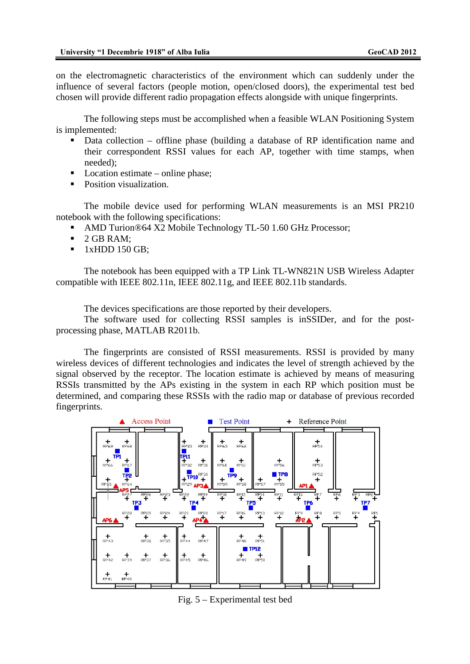on the electromagnetic characteristics of the environment which can suddenly under the influence of several factors (people motion, open/closed doors), the experimental test bed chosen will provide different radio propagation effects alongside with unique fingerprints.

The following steps must be accomplished when a feasible WLAN Positioning System is implemented:

- Data collection offline phase (building a database of RP identification name and their correspondent RSSI values for each AP, together with time stamps, when needed);
- Location estimate online phase:
- Position visualization.

The mobile device used for performing WLAN measurements is an MSI PR210 notebook with the following specifications:

- AMD Turion®64 X2 Mobile Technology TL-50 1.60 GHz Processor;
- 2 GB RAM;
- $\blacksquare$  1xHDD 150 GB;

The notebook has been equipped with a TP Link TL-WN821N USB Wireless Adapter compatible with IEEE 802.11n, IEEE 802.11g, and IEEE 802.11b standards.

The devices specifications are those reported by their developers.

The software used for collecting RSSI samples is inSSIDer, and for the postprocessing phase, MATLAB R2011b.

The fingerprints are consisted of RSSI measurements. RSSI is provided by many wireless devices of different technologies and indicates the level of strength achieved by the signal observed by the receptor. The location estimate is achieved by means of measuring RSSIs transmitted by the APs existing in the system in each RP which position must be determined, and comparing these RSSIs with the radio map or database of previous recorded fingerprints.



Fig. 5 – Experimental test bed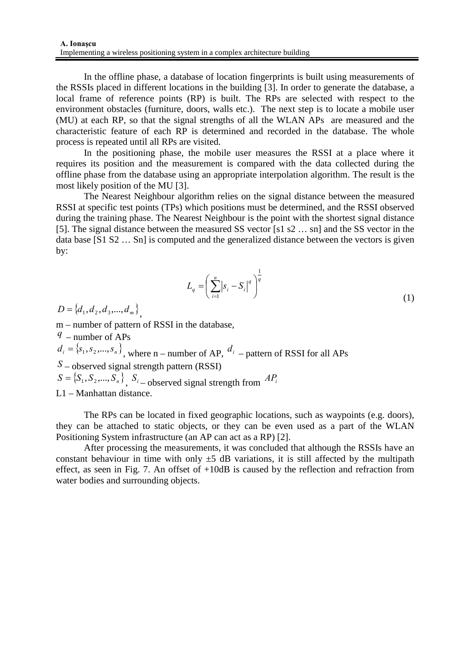In the offline phase, a database of location fingerprints is built using measurements of the RSSIs placed in different locations in the building [3]. In order to generate the database, a local frame of reference points (RP) is built. The RPs are selected with respect to the environment obstacles (furniture, doors, walls etc.). The next step is to locate a mobile user (MU) at each RP, so that the signal strengths of all the WLAN APs are measured and the characteristic feature of each RP is determined and recorded in the database. The whole process is repeated until all RPs are visited.

In the positioning phase, the mobile user measures the RSSI at a place where it requires its position and the measurement is compared with the data collected during the offline phase from the database using an appropriate interpolation algorithm. The result is the most likely position of the MU [3].

The Nearest Neighbour algorithm relies on the signal distance between the measured RSSI at specific test points (TPs) which positions must be determined, and the RSSI observed during the training phase. The Nearest Neighbour is the point with the shortest signal distance [5]. The signal distance between the measured SS vector [s1 s2 … sn] and the SS vector in the data base [S1 S2 … Sn] is computed and the generalized distance between the vectors is given by:

$$
L_q = \left(\sum_{i=1}^n |s_i - S_i|^q\right)^{\frac{1}{q}}
$$
\n(1)

 $D = \{d_1, d_2, d_3, ..., d_m\}$ 

m – number of pattern of RSSI in the database,

*q* – number of APs

 $d_i = \{s_1, s_2, ..., s_n\}$ , where n – number of AP,  $d_i$  – pattern of RSSI for all APs

*S* – observed signal strength pattern (RSSI)

 $S = \{S_1, S_2, ..., S_n\}$ ,  $S_i$  – observed signal strength from  $AP_i$ 

L1 – Manhattan distance.

The RPs can be located in fixed geographic locations, such as waypoints (e.g. doors), they can be attached to static objects, or they can be even used as a part of the WLAN Positioning System infrastructure (an AP can act as a RP) [2].

After processing the measurements, it was concluded that although the RSSIs have an constant behaviour in time with only  $\pm$ 5 dB variations, it is still affected by the multipath effect, as seen in Fig. 7. An offset of +10dB is caused by the reflection and refraction from water bodies and surrounding objects.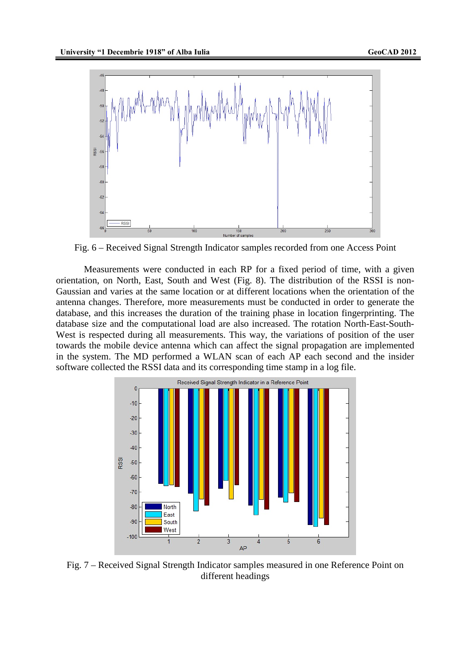

Fig. 6 – Received Signal Strength Indicator samples recorded from one Access Point

Measurements were conducted in each RP for a fixed period of time, with a given orientation, on North, East, South and West (Fig. 8). The distribution of the RSSI is non-Gaussian and varies at the same location or at different locations when the orientation of the antenna changes. Therefore, more measurements must be conducted in order to generate the database, and this increases the duration of the training phase in location fingerprinting. The database size and the computational load are also increased. The rotation North-East-South-West is respected during all measurements. This way, the variations of position of the user towards the mobile device antenna which can affect the signal propagation are implemented in the system. The MD performed a WLAN scan of each AP each second and the insider software collected the RSSI data and its corresponding time stamp in a log file.



Fig. 7 – Received Signal Strength Indicator samples measured in one Reference Point on different headings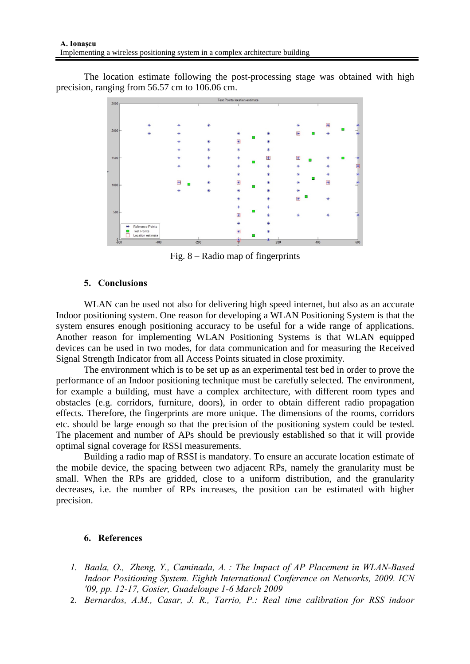The location estimate following the post-processing stage was obtained with high precision, ranging from 56.57 cm to 106.06 cm.



Fig. 8 – Radio map of fingerprints

### **5. Conclusions**

WLAN can be used not also for delivering high speed internet, but also as an accurate Indoor positioning system. One reason for developing a WLAN Positioning System is that the system ensures enough positioning accuracy to be useful for a wide range of applications. Another reason for implementing WLAN Positioning Systems is that WLAN equipped devices can be used in two modes, for data communication and for measuring the Received Signal Strength Indicator from all Access Points situated in close proximity.

The environment which is to be set up as an experimental test bed in order to prove the performance of an Indoor positioning technique must be carefully selected. The environment, for example a building, must have a complex architecture, with different room types and obstacles (e.g. corridors, furniture, doors), in order to obtain different radio propagation effects. Therefore, the fingerprints are more unique. The dimensions of the rooms, corridors etc. should be large enough so that the precision of the positioning system could be tested. The placement and number of APs should be previously established so that it will provide optimal signal coverage for RSSI measurements.

Building a radio map of RSSI is mandatory. To ensure an accurate location estimate of the mobile device, the spacing between two adjacent RPs, namely the granularity must be small. When the RPs are gridded, close to a uniform distribution, and the granularity decreases, i.e. the number of RPs increases, the position can be estimated with higher precision.

## **6. References**

- *1. Baala, O., Zheng, Y., Caminada, A. : The Impact of AP Placement in WLAN-Based Indoor Positioning System. Eighth International Conference on Networks, 2009. ICN '09, pp. 12-17, Gosier, Guadeloupe 1-6 March 2009*
- 2. *Bernardos, A.M., Casar, J. R., Tarrio, P.: Real time calibration for RSS indoor*